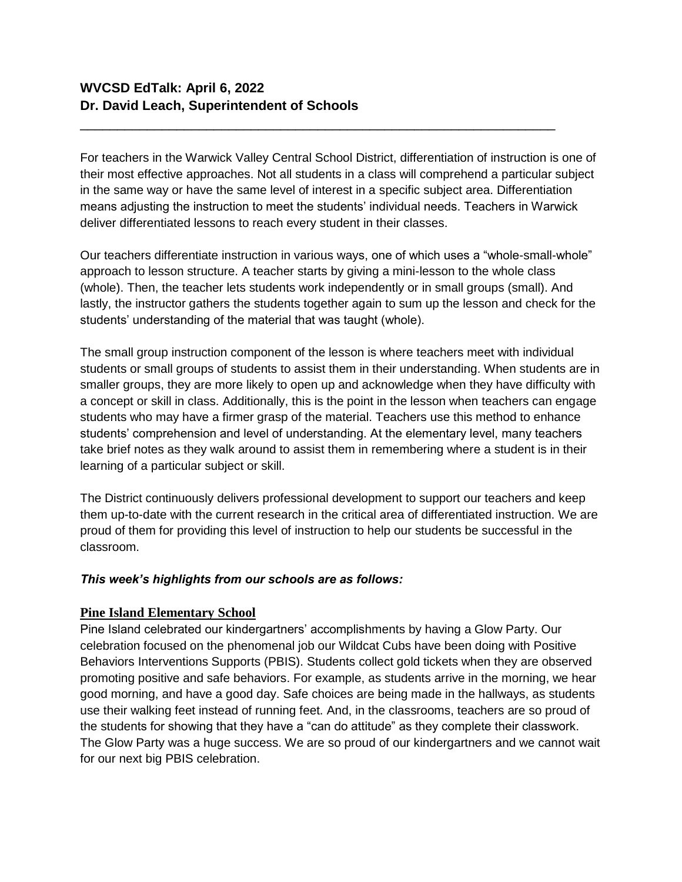For teachers in the Warwick Valley Central School District, differentiation of instruction is one of their most effective approaches. Not all students in a class will comprehend a particular subject in the same way or have the same level of interest in a specific subject area. Differentiation means adjusting the instruction to meet the students' individual needs. Teachers in Warwick deliver differentiated lessons to reach every student in their classes.

\_\_\_\_\_\_\_\_\_\_\_\_\_\_\_\_\_\_\_\_\_\_\_\_\_\_\_\_\_\_\_\_\_\_\_\_\_\_\_\_\_\_\_\_\_\_\_\_\_\_\_\_\_\_\_\_\_\_\_\_\_\_\_\_

Our teachers differentiate instruction in various ways, one of which uses a "whole-small-whole" approach to lesson structure. A teacher starts by giving a mini-lesson to the whole class (whole). Then, the teacher lets students work independently or in small groups (small). And lastly, the instructor gathers the students together again to sum up the lesson and check for the students' understanding of the material that was taught (whole).

The small group instruction component of the lesson is where teachers meet with individual students or small groups of students to assist them in their understanding. When students are in smaller groups, they are more likely to open up and acknowledge when they have difficulty with a concept or skill in class. Additionally, this is the point in the lesson when teachers can engage students who may have a firmer grasp of the material. Teachers use this method to enhance students' comprehension and level of understanding. At the elementary level, many teachers take brief notes as they walk around to assist them in remembering where a student is in their learning of a particular subject or skill.

The District continuously delivers professional development to support our teachers and keep them up-to-date with the current research in the critical area of differentiated instruction. We are proud of them for providing this level of instruction to help our students be successful in the classroom.

# *This week's highlights from our schools are as follows:*

# **Pine Island Elementary School**

Pine Island celebrated our kindergartners' accomplishments by having a Glow Party. Our celebration focused on the phenomenal job our Wildcat Cubs have been doing with Positive Behaviors Interventions Supports (PBIS). Students collect gold tickets when they are observed promoting positive and safe behaviors. For example, as students arrive in the morning, we hear good morning, and have a good day. Safe choices are being made in the hallways, as students use their walking feet instead of running feet. And, in the classrooms, teachers are so proud of the students for showing that they have a "can do attitude" as they complete their classwork. The Glow Party was a huge success. We are so proud of our kindergartners and we cannot wait for our next big PBIS celebration.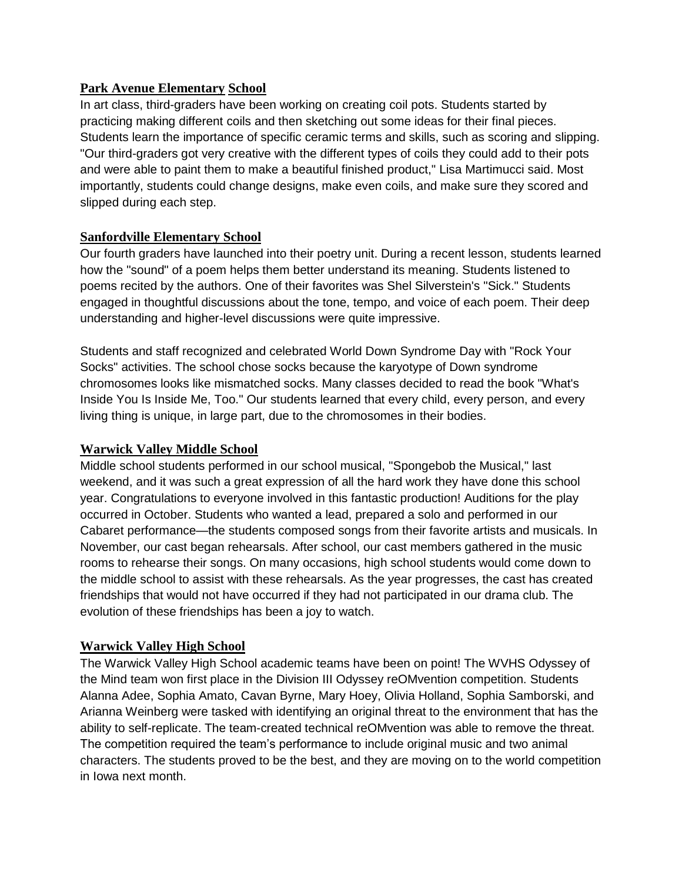## **Park Avenue Elementary School**

In art class, third-graders have been working on creating coil pots. Students started by practicing making different coils and then sketching out some ideas for their final pieces. Students learn the importance of specific ceramic terms and skills, such as scoring and slipping. "Our third-graders got very creative with the different types of coils they could add to their pots and were able to paint them to make a beautiful finished product," Lisa Martimucci said. Most importantly, students could change designs, make even coils, and make sure they scored and slipped during each step.

# **Sanfordville Elementary School**

Our fourth graders have launched into their poetry unit. During a recent lesson, students learned how the "sound" of a poem helps them better understand its meaning. Students listened to poems recited by the authors. One of their favorites was Shel Silverstein's "Sick." Students engaged in thoughtful discussions about the tone, tempo, and voice of each poem. Their deep understanding and higher-level discussions were quite impressive.

Students and staff recognized and celebrated World Down Syndrome Day with "Rock Your Socks" activities. The school chose socks because the karyotype of Down syndrome chromosomes looks like mismatched socks. Many classes decided to read the book "What's Inside You Is Inside Me, Too." Our students learned that every child, every person, and every living thing is unique, in large part, due to the chromosomes in their bodies.

# **Warwick Valley Middle School**

Middle school students performed in our school musical, "Spongebob the Musical," last weekend, and it was such a great expression of all the hard work they have done this school year. Congratulations to everyone involved in this fantastic production! Auditions for the play occurred in October. Students who wanted a lead, prepared a solo and performed in our Cabaret performance—the students composed songs from their favorite artists and musicals. In November, our cast began rehearsals. After school, our cast members gathered in the music rooms to rehearse their songs. On many occasions, high school students would come down to the middle school to assist with these rehearsals. As the year progresses, the cast has created friendships that would not have occurred if they had not participated in our drama club. The evolution of these friendships has been a joy to watch.

# **Warwick Valley High School**

The Warwick Valley High School academic teams have been on point! The WVHS Odyssey of the Mind team won first place in the Division III Odyssey reOMvention competition. Students Alanna Adee, Sophia Amato, Cavan Byrne, Mary Hoey, Olivia Holland, Sophia Samborski, and Arianna Weinberg were tasked with identifying an original threat to the environment that has the ability to self-replicate. The team-created technical reOMvention was able to remove the threat. The competition required the team's performance to include original music and two animal characters. The students proved to be the best, and they are moving on to the world competition in Iowa next month.